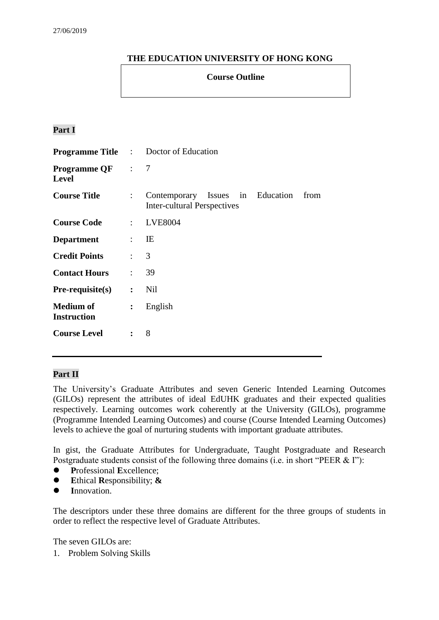# **THE EDUCATION UNIVERSITY OF HONG KONG**

### **Course Outline**

# **Part I**

|                                         |                           | <b>Programme Title :</b> Doctor of Education                                   |  |
|-----------------------------------------|---------------------------|--------------------------------------------------------------------------------|--|
| <b>Programme QF</b> : 7<br><b>Level</b> |                           |                                                                                |  |
| <b>Course Title</b>                     | $\mathbb{R}^{\mathbb{Z}}$ | Contemporary Issues in Education<br>from<br><b>Inter-cultural Perspectives</b> |  |
| <b>Course Code</b>                      |                           | : LVE8004                                                                      |  |
| <b>Department</b>                       |                           | $\mathbf{E}$                                                                   |  |
| <b>Credit Points</b>                    | $\therefore$ 3            |                                                                                |  |
| <b>Contact Hours</b>                    | $\mathbb{R}^{\mathbb{Z}}$ | 39                                                                             |  |
| $Pre-requisite(s)$                      |                           | $:$ Nil                                                                        |  |
| <b>Medium of</b><br><b>Instruction</b>  | $\ddot{\cdot}$            | English                                                                        |  |
| <b>Course Level</b>                     | $\ddot{\cdot}$            | 8                                                                              |  |

### **Part II**

The University's Graduate Attributes and seven Generic Intended Learning Outcomes (GILOs) represent the attributes of ideal EdUHK graduates and their expected qualities respectively. Learning outcomes work coherently at the University (GILOs), programme (Programme Intended Learning Outcomes) and course (Course Intended Learning Outcomes) levels to achieve the goal of nurturing students with important graduate attributes.

In gist, the Graduate Attributes for Undergraduate, Taught Postgraduate and Research Postgraduate students consist of the following three domains (i.e. in short "PEER & I"):

- **P**rofessional **E**xcellence;
- **E**thical **R**esponsibility; **&**
- **I**nnovation.

The descriptors under these three domains are different for the three groups of students in order to reflect the respective level of Graduate Attributes.

The seven GILOs are:

1. Problem Solving Skills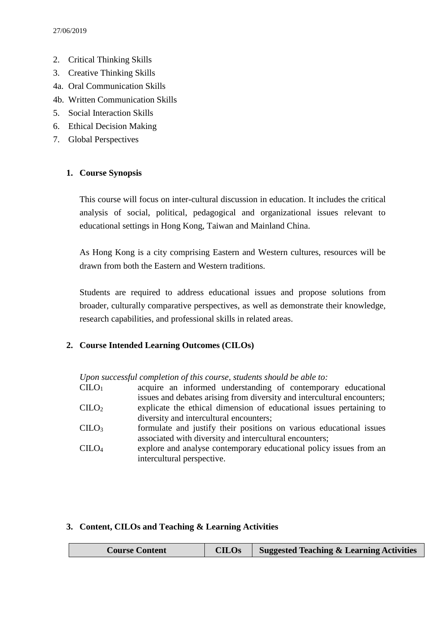- 2. Critical Thinking Skills
- 3. Creative Thinking Skills
- 4a. Oral Communication Skills
- 4b. Written Communication Skills
- 5. Social Interaction Skills
- 6. Ethical Decision Making
- 7. Global Perspectives

### **1. Course Synopsis**

This course will focus on inter-cultural discussion in education. It includes the critical analysis of social, political, pedagogical and organizational issues relevant to educational settings in Hong Kong, Taiwan and Mainland China.

As Hong Kong is a city comprising Eastern and Western cultures, resources will be drawn from both the Eastern and Western traditions.

Students are required to address educational issues and propose solutions from broader, culturally comparative perspectives, as well as demonstrate their knowledge, research capabilities, and professional skills in related areas.

### **2. Course Intended Learning Outcomes (CILOs)**

*Upon successful completion of this course, students should be able to:*

| $\rm C ILO_{1}$   | acquire an informed understanding of contemporary educational           |
|-------------------|-------------------------------------------------------------------------|
|                   | issues and debates arising from diversity and intercultural encounters; |
| $\rm CILO_2$      | explicate the ethical dimension of educational issues pertaining to     |
|                   | diversity and intercultural encounters;                                 |
| CLLO <sub>3</sub> | formulate and justify their positions on various educational issues     |
|                   | associated with diversity and intercultural encounters;                 |
| $\rm CILO_4$      | explore and analyse contemporary educational policy issues from an      |
|                   | intercultural perspective.                                              |

### **3. Content, CILOs and Teaching & Learning Activities**

| <b>CILOs</b><br><b>Suggested Teaching &amp; Learning Activities</b><br><b>Course Content</b> |
|----------------------------------------------------------------------------------------------|
|----------------------------------------------------------------------------------------------|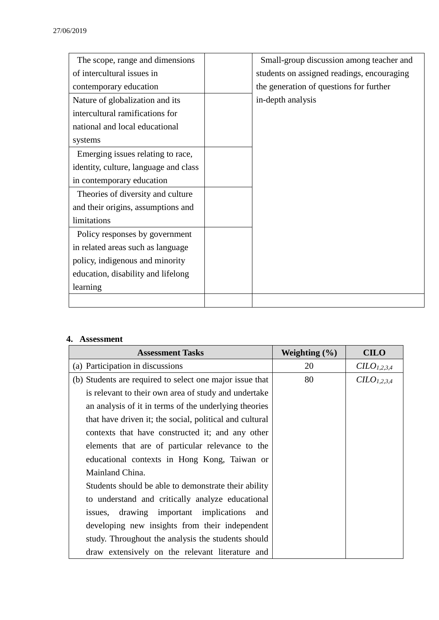| The scope, range and dimensions       | Small-group discussion among teacher and   |  |
|---------------------------------------|--------------------------------------------|--|
| of intercultural issues in            | students on assigned readings, encouraging |  |
| contemporary education                | the generation of questions for further    |  |
| Nature of globalization and its       | in-depth analysis                          |  |
| intercultural ramifications for       |                                            |  |
| national and local educational        |                                            |  |
| systems                               |                                            |  |
| Emerging issues relating to race,     |                                            |  |
| identity, culture, language and class |                                            |  |
| in contemporary education             |                                            |  |
| Theories of diversity and culture     |                                            |  |
| and their origins, assumptions and    |                                            |  |
| limitations                           |                                            |  |
| Policy responses by government        |                                            |  |
| in related areas such as language     |                                            |  |
| policy, indigenous and minority       |                                            |  |
| education, disability and lifelong    |                                            |  |
| learning                              |                                            |  |
|                                       |                                            |  |

### **4. Assessment**

| <b>Assessment Tasks</b>                                  | Weighting $(\% )$ | <b>CILO</b>             |
|----------------------------------------------------------|-------------------|-------------------------|
| (a) Participation in discussions                         | 20                | CILO <sub>1,2,3,4</sub> |
| (b) Students are required to select one major issue that | 80                | CLO <sub>1,2,3,4</sub>  |
| is relevant to their own area of study and undertake     |                   |                         |
| an analysis of it in terms of the underlying theories    |                   |                         |
| that have driven it; the social, political and cultural  |                   |                         |
| contexts that have constructed it; and any other         |                   |                         |
| elements that are of particular relevance to the         |                   |                         |
| educational contexts in Hong Kong, Taiwan or             |                   |                         |
| Mainland China.                                          |                   |                         |
| Students should be able to demonstrate their ability     |                   |                         |
| to understand and critically analyze educational         |                   |                         |
| issues, drawing important implications<br>and            |                   |                         |
| developing new insights from their independent           |                   |                         |
| study. Throughout the analysis the students should       |                   |                         |
| draw extensively on the relevant literature and          |                   |                         |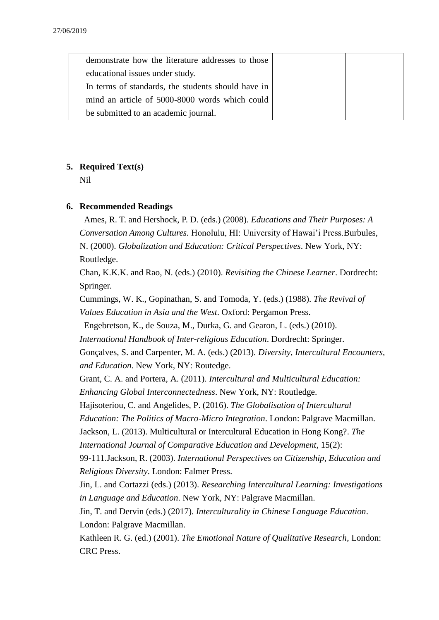| demonstrate how the literature addresses to those  |  |
|----------------------------------------------------|--|
| educational issues under study.                    |  |
| In terms of standards, the students should have in |  |
| mind an article of 5000-8000 words which could     |  |
| be submitted to an academic journal.               |  |

### **5. Required Text(s)**

Nil

### **6. Recommended Readings**

Ames, R. T. and Hershock, P. D. (eds.) (2008). *Educations and Their Purposes: A Conversation Among Cultures.* Honolulu, HI: University of Hawai'i Press.Burbules, N. (2000). *Globalization and Education: Critical Perspectives*. New York, NY: Routledge.

Chan, K.K.K. and Rao, N. (eds.) (2010). *Revisiting the Chinese Learner*. Dordrecht: Springer.

Cummings, W. K., Gopinathan, S. and Tomoda, Y. (eds.) (1988). *The Revival of Values Education in Asia and the West*. Oxford: Pergamon Press.

Engebretson, K., de Souza, M., Durka, G. and Gearon, L. (eds.) (2010).

*International Handbook of Inter-religious Education*. Dordrecht: Springer.

Gonçalves, S. and Carpenter, M. A. (eds.) (2013). *Diversity, Intercultural Encounters, and Education*. New York, NY: Routedge.

Grant, C. A. and Portera, A. (2011). *Intercultural and Multicultural Education: Enhancing Global Interconnectedness*. New York, NY: Routledge.

Hajisoteriou, C. and Angelides, P. (2016). *The Globalisation of Intercultural* 

*Education: The Politics of Macro-Micro Integration*. London: Palgrave Macmillan.

Jackson, L. (2013). Multicultural or Intercultural Education in Hong Kong?. *The International Journal of Comparative Education and Development*, 15(2):

99-111.Jackson, R. (2003). *International Perspectives on Citizenship, Education and Religious Diversity*. London: Falmer Press.

Jin, L. and Cortazzi (eds.) (2013). *Researching Intercultural Learning: Investigations in Language and Education*. New York, NY: Palgrave Macmillan.

Jin, T. and Dervin (eds.) (2017). *Interculturality in Chinese Language Education*. London: Palgrave Macmillan.

Kathleen R. G. (ed.) (2001). *The Emotional Nature of Qualitative Research*, London: CRC Press.